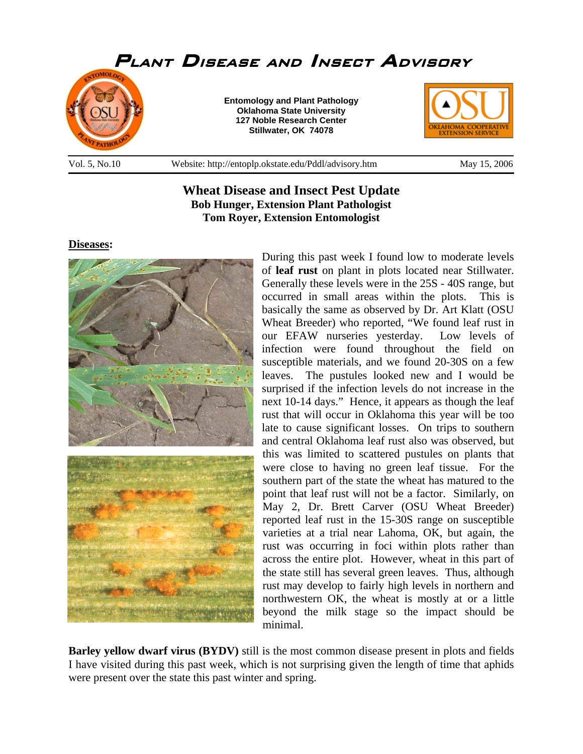

**Wheat Disease and Insect Pest Update Bob Hunger, Extension Plant Pathologist Tom Royer, Extension Entomologist** 

**Diseases:**



During this past week I found low to moderate levels of **leaf rust** on plant in plots located near Stillwater. Generally these levels were in the 25S - 40S range, but occurred in small areas within the plots. This is basically the same as observed by Dr. Art Klatt (OSU Wheat Breeder) who reported, "We found leaf rust in our EFAW nurseries yesterday. Low levels of infection were found throughout the field on susceptible materials, and we found 20-30S on a few leaves. The pustules looked new and I would be surprised if the infection levels do not increase in the next 10-14 days." Hence, it appears as though the leaf rust that will occur in Oklahoma this year will be too late to cause significant losses. On trips to southern and central Oklahoma leaf rust also was observed, but this was limited to scattered pustules on plants that were close to having no green leaf tissue. For the southern part of the state the wheat has matured to the point that leaf rust will not be a factor. Similarly, on May 2, Dr. Brett Carver (OSU Wheat Breeder) reported leaf rust in the 15-30S range on susceptible varieties at a trial near Lahoma, OK, but again, the rust was occurring in foci within plots rather than across the entire plot. However, wheat in this part of the state still has several green leaves. Thus, although rust may develop to fairly high levels in northern and northwestern OK, the wheat is mostly at or a little beyond the milk stage so the impact should be minimal.

**Barley yellow dwarf virus (BYDV)** still is the most common disease present in plots and fields I have visited during this past week, which is not surprising given the length of time that aphids were present over the state this past winter and spring.